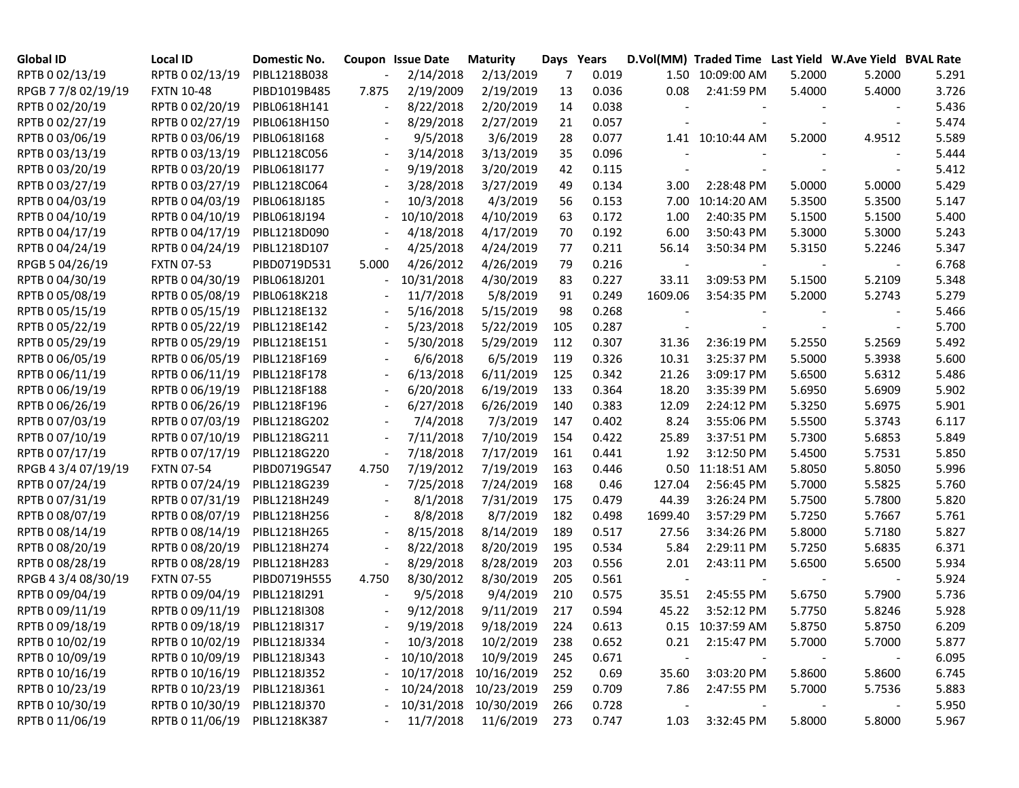| <b>Global ID</b>    | <b>Local ID</b>   | Domestic No. |       | Coupon Issue Date | <b>Maturity</b>       | Days Years |       |         | D.Vol(MM) Traded Time Last Yield W.Ave Yield BVAL Rate |        |        |       |
|---------------------|-------------------|--------------|-------|-------------------|-----------------------|------------|-------|---------|--------------------------------------------------------|--------|--------|-------|
| RPTB 0 02/13/19     | RPTB 0 02/13/19   | PIBL1218B038 |       | 2/14/2018         | 2/13/2019             | 7          | 0.019 |         | 1.50 10:09:00 AM                                       | 5.2000 | 5.2000 | 5.291 |
| RPGB 7 7/8 02/19/19 | <b>FXTN 10-48</b> | PIBD1019B485 | 7.875 | 2/19/2009         | 2/19/2019             | 13         | 0.036 | 0.08    | 2:41:59 PM                                             | 5.4000 | 5.4000 | 3.726 |
| RPTB 0 02/20/19     | RPTB 0 02/20/19   | PIBL0618H141 |       | 8/22/2018         | 2/20/2019             | 14         | 0.038 |         |                                                        |        |        | 5.436 |
| RPTB 0 02/27/19     | RPTB 0 02/27/19   | PIBL0618H150 |       | 8/29/2018         | 2/27/2019             | 21         | 0.057 |         |                                                        |        |        | 5.474 |
| RPTB 0 03/06/19     | RPTB 0 03/06/19   | PIBL0618I168 |       | 9/5/2018          | 3/6/2019              | 28         | 0.077 |         | 1.41 10:10:44 AM                                       | 5.2000 | 4.9512 | 5.589 |
| RPTB 0 03/13/19     | RPTB 0 03/13/19   | PIBL1218C056 |       | 3/14/2018         | 3/13/2019             | 35         | 0.096 |         |                                                        |        |        | 5.444 |
| RPTB 0 03/20/19     | RPTB 0 03/20/19   | PIBL0618I177 |       | 9/19/2018         | 3/20/2019             | 42         | 0.115 |         |                                                        |        |        | 5.412 |
| RPTB 0 03/27/19     | RPTB 0 03/27/19   | PIBL1218C064 |       | 3/28/2018         | 3/27/2019             | 49         | 0.134 | 3.00    | 2:28:48 PM                                             | 5.0000 | 5.0000 | 5.429 |
| RPTB 0 04/03/19     | RPTB 0 04/03/19   | PIBL0618J185 |       | 10/3/2018         | 4/3/2019              | 56         | 0.153 | 7.00    | 10:14:20 AM                                            | 5.3500 | 5.3500 | 5.147 |
| RPTB 0 04/10/19     | RPTB 0 04/10/19   | PIBL0618J194 |       | 10/10/2018        | 4/10/2019             | 63         | 0.172 | 1.00    | 2:40:35 PM                                             | 5.1500 | 5.1500 | 5.400 |
| RPTB 0 04/17/19     | RPTB 0 04/17/19   | PIBL1218D090 |       | 4/18/2018         | 4/17/2019             | 70         | 0.192 | 6.00    | 3:50:43 PM                                             | 5.3000 | 5.3000 | 5.243 |
| RPTB 0 04/24/19     | RPTB 0 04/24/19   | PIBL1218D107 |       | 4/25/2018         | 4/24/2019             | 77         | 0.211 | 56.14   | 3:50:34 PM                                             | 5.3150 | 5.2246 | 5.347 |
| RPGB 5 04/26/19     | <b>FXTN 07-53</b> | PIBD0719D531 | 5.000 | 4/26/2012         | 4/26/2019             | 79         | 0.216 |         |                                                        |        |        | 6.768 |
| RPTB 0 04/30/19     | RPTB 0 04/30/19   | PIBL0618J201 |       | 10/31/2018        | 4/30/2019             | 83         | 0.227 | 33.11   | 3:09:53 PM                                             | 5.1500 | 5.2109 | 5.348 |
| RPTB 0 05/08/19     | RPTB 0 05/08/19   | PIBL0618K218 |       | 11/7/2018         | 5/8/2019              | 91         | 0.249 | 1609.06 | 3:54:35 PM                                             | 5.2000 | 5.2743 | 5.279 |
| RPTB 0 05/15/19     | RPTB 0 05/15/19   | PIBL1218E132 |       | 5/16/2018         | 5/15/2019             | 98         | 0.268 |         |                                                        |        |        | 5.466 |
| RPTB 0 05/22/19     | RPTB 0 05/22/19   | PIBL1218E142 |       | 5/23/2018         | 5/22/2019             | 105        | 0.287 |         |                                                        |        |        | 5.700 |
| RPTB 0 05/29/19     | RPTB 0 05/29/19   | PIBL1218E151 |       | 5/30/2018         | 5/29/2019             | 112        | 0.307 | 31.36   | 2:36:19 PM                                             | 5.2550 | 5.2569 | 5.492 |
| RPTB 0 06/05/19     | RPTB 0 06/05/19   | PIBL1218F169 |       | 6/6/2018          | 6/5/2019              | 119        | 0.326 | 10.31   | 3:25:37 PM                                             | 5.5000 | 5.3938 | 5.600 |
| RPTB 0 06/11/19     | RPTB 0 06/11/19   | PIBL1218F178 |       | 6/13/2018         | 6/11/2019             | 125        | 0.342 | 21.26   | 3:09:17 PM                                             | 5.6500 | 5.6312 | 5.486 |
| RPTB 0 06/19/19     | RPTB 0 06/19/19   | PIBL1218F188 |       | 6/20/2018         | 6/19/2019             | 133        | 0.364 | 18.20   | 3:35:39 PM                                             | 5.6950 | 5.6909 | 5.902 |
| RPTB 0 06/26/19     | RPTB 0 06/26/19   | PIBL1218F196 |       | 6/27/2018         | 6/26/2019             | 140        | 0.383 | 12.09   | 2:24:12 PM                                             | 5.3250 | 5.6975 | 5.901 |
| RPTB 0 07/03/19     | RPTB 0 07/03/19   | PIBL1218G202 |       | 7/4/2018          | 7/3/2019              | 147        | 0.402 | 8.24    | 3:55:06 PM                                             | 5.5500 | 5.3743 | 6.117 |
| RPTB 0 07/10/19     | RPTB 0 07/10/19   | PIBL1218G211 |       | 7/11/2018         | 7/10/2019             | 154        | 0.422 | 25.89   | 3:37:51 PM                                             | 5.7300 | 5.6853 | 5.849 |
| RPTB 0 07/17/19     | RPTB 0 07/17/19   | PIBL1218G220 |       | 7/18/2018         | 7/17/2019             | 161        | 0.441 | 1.92    | 3:12:50 PM                                             | 5.4500 | 5.7531 | 5.850 |
| RPGB 4 3/4 07/19/19 | <b>FXTN 07-54</b> | PIBD0719G547 | 4.750 | 7/19/2012         | 7/19/2019             | 163        | 0.446 | 0.50    | 11:18:51 AM                                            | 5.8050 | 5.8050 | 5.996 |
| RPTB 0 07/24/19     | RPTB 0 07/24/19   | PIBL1218G239 |       | 7/25/2018         | 7/24/2019             | 168        | 0.46  | 127.04  | 2:56:45 PM                                             | 5.7000 | 5.5825 | 5.760 |
| RPTB 0 07/31/19     | RPTB 0 07/31/19   | PIBL1218H249 |       | 8/1/2018          | 7/31/2019             | 175        | 0.479 | 44.39   | 3:26:24 PM                                             | 5.7500 | 5.7800 | 5.820 |
| RPTB 0 08/07/19     | RPTB 0 08/07/19   | PIBL1218H256 |       | 8/8/2018          | 8/7/2019              | 182        | 0.498 | 1699.40 | 3:57:29 PM                                             | 5.7250 | 5.7667 | 5.761 |
| RPTB 0 08/14/19     | RPTB 0 08/14/19   | PIBL1218H265 |       | 8/15/2018         | 8/14/2019             | 189        | 0.517 | 27.56   | 3:34:26 PM                                             | 5.8000 | 5.7180 | 5.827 |
| RPTB 0 08/20/19     | RPTB 0 08/20/19   | PIBL1218H274 |       | 8/22/2018         | 8/20/2019             | 195        | 0.534 | 5.84    | 2:29:11 PM                                             | 5.7250 | 5.6835 | 6.371 |
| RPTB 0 08/28/19     | RPTB 0 08/28/19   | PIBL1218H283 |       | 8/29/2018         | 8/28/2019             | 203        | 0.556 | 2.01    | 2:43:11 PM                                             | 5.6500 | 5.6500 | 5.934 |
| RPGB 4 3/4 08/30/19 | <b>FXTN 07-55</b> | PIBD0719H555 | 4.750 | 8/30/2012         | 8/30/2019             | 205        | 0.561 |         |                                                        |        |        | 5.924 |
| RPTB 0 09/04/19     | RPTB 0 09/04/19   | PIBL1218I291 |       | 9/5/2018          | 9/4/2019              | 210        | 0.575 | 35.51   | 2:45:55 PM                                             | 5.6750 | 5.7900 | 5.736 |
| RPTB 0 09/11/19     | RPTB 0 09/11/19   | PIBL12181308 |       | 9/12/2018         | 9/11/2019             | 217        | 0.594 | 45.22   | 3:52:12 PM                                             | 5.7750 | 5.8246 | 5.928 |
| RPTB 0 09/18/19     | RPTB 0 09/18/19   | PIBL1218I317 |       | 9/19/2018         | 9/18/2019             | 224        | 0.613 |         | 0.15 10:37:59 AM                                       | 5.8750 | 5.8750 | 6.209 |
| RPTB 0 10/02/19     | RPTB 0 10/02/19   | PIBL1218J334 |       | 10/3/2018         | 10/2/2019             | 238        | 0.652 | 0.21    | 2:15:47 PM                                             | 5.7000 | 5.7000 | 5.877 |
| RPTB 0 10/09/19     | RPTB 0 10/09/19   | PIBL1218J343 |       | 10/10/2018        | 10/9/2019             | 245        | 0.671 |         |                                                        |        |        | 6.095 |
| RPTB 0 10/16/19     | RPTB 0 10/16/19   | PIBL1218J352 |       |                   | 10/17/2018 10/16/2019 | 252        | 0.69  | 35.60   | 3:03:20 PM                                             | 5.8600 | 5.8600 | 6.745 |
| RPTB 0 10/23/19     | RPTB 0 10/23/19   | PIBL1218J361 |       |                   | 10/24/2018 10/23/2019 | 259        | 0.709 | 7.86    | 2:47:55 PM                                             | 5.7000 | 5.7536 | 5.883 |
| RPTB 0 10/30/19     | RPTB 0 10/30/19   | PIBL1218J370 |       |                   | 10/31/2018 10/30/2019 | 266        | 0.728 |         |                                                        |        |        | 5.950 |
| RPTB 0 11/06/19     | RPTB 0 11/06/19   | PIBL1218K387 |       | 11/7/2018         | 11/6/2019             | 273        | 0.747 | 1.03    | 3:32:45 PM                                             | 5.8000 | 5.8000 | 5.967 |
|                     |                   |              |       |                   |                       |            |       |         |                                                        |        |        |       |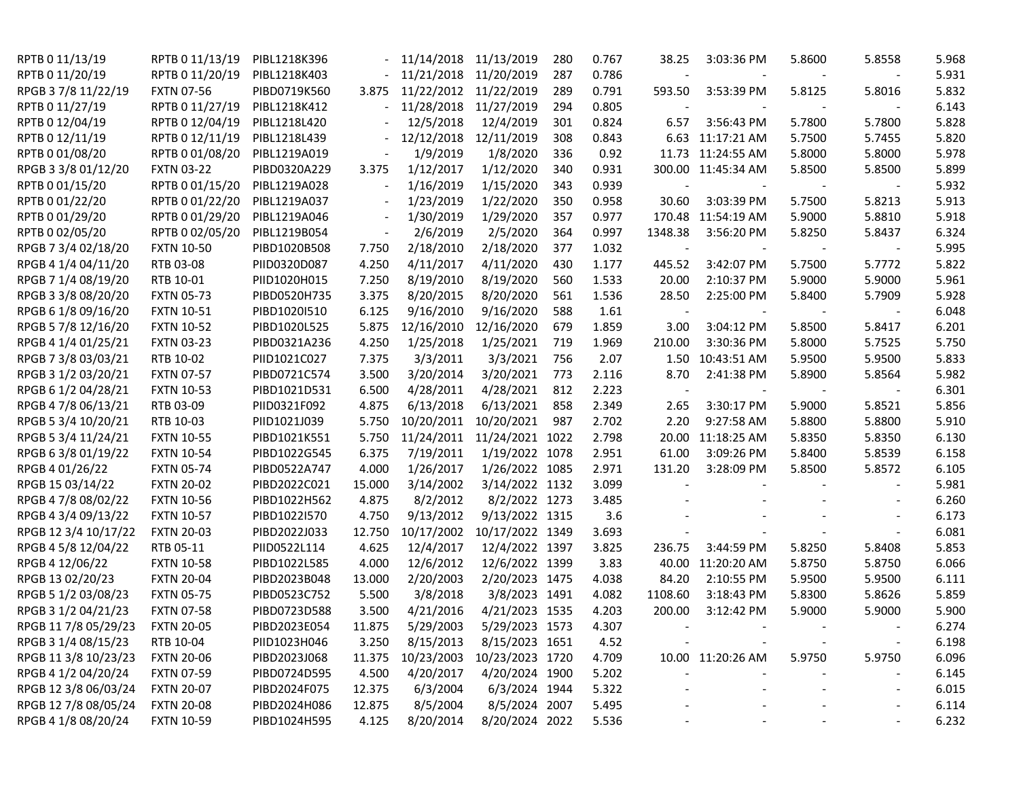| RPTB 0 11/13/19      | RPTB 0 11/13/19   | PIBL1218K396 |                          | 11/14/2018 11/13/2019 |                            | 280 | 0.767 | 38.25   | 3:03:36 PM         | 5.8600 | 5.8558 | 5.968 |
|----------------------|-------------------|--------------|--------------------------|-----------------------|----------------------------|-----|-------|---------|--------------------|--------|--------|-------|
| RPTB 0 11/20/19      | RPTB 0 11/20/19   | PIBL1218K403 |                          | 11/21/2018 11/20/2019 |                            | 287 | 0.786 |         |                    |        |        | 5.931 |
| RPGB 3 7/8 11/22/19  | <b>FXTN 07-56</b> | PIBD0719K560 | 3.875                    | 11/22/2012 11/22/2019 |                            | 289 | 0.791 | 593.50  | 3:53:39 PM         | 5.8125 | 5.8016 | 5.832 |
| RPTB 0 11/27/19      | RPTB 0 11/27/19   | PIBL1218K412 |                          | 11/28/2018 11/27/2019 |                            | 294 | 0.805 |         |                    |        |        | 6.143 |
| RPTB 0 12/04/19      | RPTB 0 12/04/19   | PIBL1218L420 |                          | 12/5/2018             | 12/4/2019                  | 301 | 0.824 | 6.57    | 3:56:43 PM         | 5.7800 | 5.7800 | 5.828 |
| RPTB 0 12/11/19      | RPTB 0 12/11/19   | PIBL1218L439 |                          | 12/12/2018            | 12/11/2019                 | 308 | 0.843 |         | 6.63 11:17:21 AM   | 5.7500 | 5.7455 | 5.820 |
| RPTB 0 01/08/20      | RPTB 0 01/08/20   | PIBL1219A019 |                          | 1/9/2019              | 1/8/2020                   | 336 | 0.92  |         | 11.73 11:24:55 AM  | 5.8000 | 5.8000 | 5.978 |
| RPGB 3 3/8 01/12/20  | <b>FXTN 03-22</b> | PIBD0320A229 | 3.375                    | 1/12/2017             | 1/12/2020                  | 340 | 0.931 |         | 300.00 11:45:34 AM | 5.8500 | 5.8500 | 5.899 |
| RPTB 0 01/15/20      | RPTB 0 01/15/20   | PIBL1219A028 | $\overline{\phantom{a}}$ | 1/16/2019             | 1/15/2020                  | 343 | 0.939 |         |                    |        |        | 5.932 |
| RPTB 0 01/22/20      | RPTB 0 01/22/20   | PIBL1219A037 |                          | 1/23/2019             | 1/22/2020                  | 350 | 0.958 | 30.60   | 3:03:39 PM         | 5.7500 | 5.8213 | 5.913 |
| RPTB 0 01/29/20      | RPTB 0 01/29/20   | PIBL1219A046 | $\overline{\phantom{a}}$ | 1/30/2019             | 1/29/2020                  | 357 | 0.977 |         | 170.48 11:54:19 AM | 5.9000 | 5.8810 | 5.918 |
| RPTB 0 02/05/20      | RPTB 0 02/05/20   | PIBL1219B054 |                          | 2/6/2019              | 2/5/2020                   | 364 | 0.997 | 1348.38 | 3:56:20 PM         | 5.8250 | 5.8437 | 6.324 |
| RPGB 7 3/4 02/18/20  | <b>FXTN 10-50</b> | PIBD1020B508 | 7.750                    | 2/18/2010             | 2/18/2020                  | 377 | 1.032 |         |                    |        |        | 5.995 |
| RPGB 4 1/4 04/11/20  | RTB 03-08         | PIID0320D087 | 4.250                    | 4/11/2017             | 4/11/2020                  | 430 | 1.177 | 445.52  | 3:42:07 PM         | 5.7500 | 5.7772 | 5.822 |
| RPGB 7 1/4 08/19/20  | RTB 10-01         | PIID1020H015 | 7.250                    | 8/19/2010             | 8/19/2020                  | 560 | 1.533 | 20.00   | 2:10:37 PM         | 5.9000 | 5.9000 | 5.961 |
| RPGB 3 3/8 08/20/20  | <b>FXTN 05-73</b> | PIBD0520H735 | 3.375                    | 8/20/2015             | 8/20/2020                  | 561 | 1.536 | 28.50   | 2:25:00 PM         | 5.8400 | 5.7909 | 5.928 |
| RPGB 6 1/8 09/16/20  | <b>FXTN 10-51</b> | PIBD1020I510 | 6.125                    | 9/16/2010             | 9/16/2020                  | 588 | 1.61  |         |                    |        |        | 6.048 |
| RPGB 5 7/8 12/16/20  | <b>FXTN 10-52</b> | PIBD1020L525 | 5.875                    | 12/16/2010            | 12/16/2020                 | 679 | 1.859 | 3.00    | 3:04:12 PM         | 5.8500 | 5.8417 | 6.201 |
| RPGB 4 1/4 01/25/21  | <b>FXTN 03-23</b> | PIBD0321A236 | 4.250                    | 1/25/2018             | 1/25/2021                  | 719 | 1.969 | 210.00  | 3:30:36 PM         | 5.8000 | 5.7525 | 5.750 |
| RPGB 7 3/8 03/03/21  | RTB 10-02         | PIID1021C027 | 7.375                    | 3/3/2011              | 3/3/2021                   | 756 | 2.07  | 1.50    | 10:43:51 AM        | 5.9500 | 5.9500 | 5.833 |
| RPGB 3 1/2 03/20/21  | <b>FXTN 07-57</b> | PIBD0721C574 | 3.500                    | 3/20/2014             | 3/20/2021                  | 773 | 2.116 | 8.70    | 2:41:38 PM         | 5.8900 | 5.8564 | 5.982 |
| RPGB 6 1/2 04/28/21  | <b>FXTN 10-53</b> | PIBD1021D531 | 6.500                    | 4/28/2011             | 4/28/2021                  | 812 | 2.223 |         |                    |        |        | 6.301 |
| RPGB 4 7/8 06/13/21  | RTB 03-09         | PIID0321F092 | 4.875                    | 6/13/2018             | 6/13/2021                  | 858 | 2.349 | 2.65    | 3:30:17 PM         | 5.9000 | 5.8521 | 5.856 |
| RPGB 5 3/4 10/20/21  | RTB 10-03         | PIID1021J039 | 5.750                    | 10/20/2011            | 10/20/2021                 | 987 | 2.702 | 2.20    | 9:27:58 AM         | 5.8800 | 5.8800 | 5.910 |
| RPGB 5 3/4 11/24/21  | <b>FXTN 10-55</b> | PIBD1021K551 | 5.750                    | 11/24/2011            | 11/24/2021 1022            |     | 2.798 | 20.00   | 11:18:25 AM        | 5.8350 | 5.8350 | 6.130 |
| RPGB 63/801/19/22    | <b>FXTN 10-54</b> | PIBD1022G545 | 6.375                    | 7/19/2011             | 1/19/2022 1078             |     | 2.951 | 61.00   | 3:09:26 PM         | 5.8400 | 5.8539 | 6.158 |
| RPGB 4 01/26/22      | <b>FXTN 05-74</b> | PIBD0522A747 | 4.000                    | 1/26/2017             | 1/26/2022 1085             |     | 2.971 | 131.20  | 3:28:09 PM         | 5.8500 | 5.8572 | 6.105 |
| RPGB 15 03/14/22     | <b>FXTN 20-02</b> | PIBD2022C021 | 15.000                   | 3/14/2002             | 3/14/2022 1132             |     | 3.099 |         |                    |        |        | 5.981 |
| RPGB 4 7/8 08/02/22  | <b>FXTN 10-56</b> | PIBD1022H562 | 4.875                    | 8/2/2012              | 8/2/2022 1273              |     | 3.485 |         |                    |        |        | 6.260 |
| RPGB 4 3/4 09/13/22  | <b>FXTN 10-57</b> | PIBD1022I570 | 4.750                    | 9/13/2012             | 9/13/2022 1315             |     | 3.6   |         |                    |        |        | 6.173 |
| RPGB 12 3/4 10/17/22 | <b>FXTN 20-03</b> | PIBD2022J033 | 12.750                   | 10/17/2002            | 10/17/2022 1349            |     | 3.693 |         |                    |        |        | 6.081 |
| RPGB 4 5/8 12/04/22  | RTB 05-11         | PIID0522L114 | 4.625                    | 12/4/2017             | 12/4/2022 1397             |     | 3.825 | 236.75  | 3:44:59 PM         | 5.8250 | 5.8408 | 5.853 |
| RPGB 4 12/06/22      | <b>FXTN 10-58</b> | PIBD1022L585 | 4.000                    | 12/6/2012             | 12/6/2022 1399             |     | 3.83  | 40.00   | 11:20:20 AM        | 5.8750 | 5.8750 | 6.066 |
| RPGB 13 02/20/23     | <b>FXTN 20-04</b> | PIBD2023B048 | 13.000                   | 2/20/2003             | 2/20/2023 1475             |     | 4.038 | 84.20   | 2:10:55 PM         | 5.9500 | 5.9500 | 6.111 |
| RPGB 5 1/2 03/08/23  | <b>FXTN 05-75</b> | PIBD0523C752 | 5.500                    | 3/8/2018              | 3/8/2023 1491              |     | 4.082 | 1108.60 | 3:18:43 PM         | 5.8300 | 5.8626 | 5.859 |
| RPGB 3 1/2 04/21/23  | <b>FXTN 07-58</b> | PIBD0723D588 | 3.500                    | 4/21/2016             | 4/21/2023 1535             |     | 4.203 | 200.00  | 3:12:42 PM         | 5.9000 | 5.9000 | 5.900 |
| RPGB 11 7/8 05/29/23 | <b>FXTN 20-05</b> | PIBD2023E054 | 11.875                   | 5/29/2003             | 5/29/2023 1573             |     | 4.307 |         |                    |        |        | 6.274 |
| RPGB 3 1/4 08/15/23  | RTB 10-04         | PIID1023H046 | 3.250                    | 8/15/2013             | 8/15/2023 1651             |     | 4.52  |         |                    |        |        | 6.198 |
| RPGB 11 3/8 10/23/23 | <b>FXTN 20-06</b> | PIBD2023J068 | 11.375                   |                       | 10/23/2003 10/23/2023 1720 |     | 4.709 |         | 10.00 11:20:26 AM  | 5.9750 | 5.9750 | 6.096 |
| RPGB 4 1/2 04/20/24  | <b>FXTN 07-59</b> | PIBD0724D595 | 4.500                    | 4/20/2017             | 4/20/2024 1900             |     | 5.202 |         |                    |        |        | 6.145 |
| RPGB 12 3/8 06/03/24 | <b>FXTN 20-07</b> | PIBD2024F075 | 12.375                   | 6/3/2004              | 6/3/2024 1944              |     | 5.322 |         |                    |        |        | 6.015 |
| RPGB 12 7/8 08/05/24 | <b>FXTN 20-08</b> | PIBD2024H086 | 12.875                   | 8/5/2004              | 8/5/2024 2007              |     | 5.495 |         |                    |        |        | 6.114 |
| RPGB 4 1/8 08/20/24  | <b>FXTN 10-59</b> | PIBD1024H595 | 4.125                    | 8/20/2014             | 8/20/2024 2022             |     | 5.536 |         |                    |        |        | 6.232 |